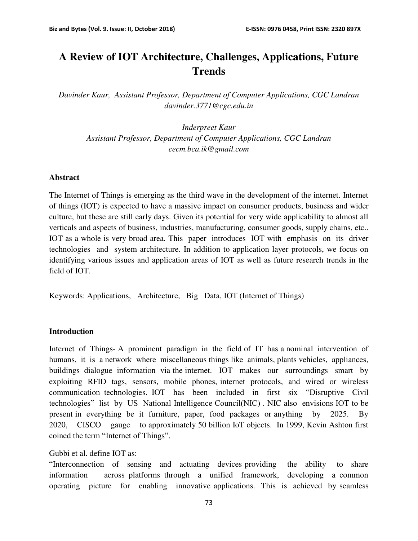# **A Review of IOT Architecture, Challenges, Applications, Future Trends**

*Davinder Kaur, Assistant Professor, Department of Computer Applications, CGC Landran davinder.3771@cgc.edu.in* 

*Inderpreet Kaur Assistant Professor, Department of Computer Applications, CGC Landran cecm.bca.ik@gmail.com* 

### **Abstract**

The Internet of Things is emerging as the third wave in the development of the internet. Internet of things (IOT) is expected to have a massive impact on consumer products, business and wider culture, but these are still early days. Given its potential for very wide applicability to almost all verticals and aspects of business, industries, manufacturing, consumer goods, supply chains, etc.. IOT as a whole is very broad area. This paper introduces IOT with emphasis on its driver technologies and system architecture. In addition to application layer protocols, we focus on identifying various issues and application areas of IOT as well as future research trends in the field of IOT.

Keywords: Applications, Architecture, Big Data, IOT (Internet of Things)

#### **Introduction**

Internet of Things- A prominent paradigm in the field of IT has a nominal intervention of humans, it is a network where miscellaneous things like animals, plants vehicles, appliances, buildings dialogue information via the internet. IOT makes our surroundings smart by exploiting RFID tags, sensors, mobile phones, internet protocols, and wired or wireless communication technologies. IOT has been included in first six "Disruptive Civil technologies" list by US National Intelligence Council(NIC) . NIC also envisions IOT to be present in everything be it furniture, paper, food packages or anything by 2025. By 2020, CISCO gauge to approximately 50 billion IoT objects. In 1999, Kevin Ashton first coined the term "Internet of Things".

Gubbi et al. define IOT as:

"Interconnection of sensing and actuating devices providing the ability to share information across platforms through a unified framework, developing a common operating picture for enabling innovative applications. This is achieved by seamless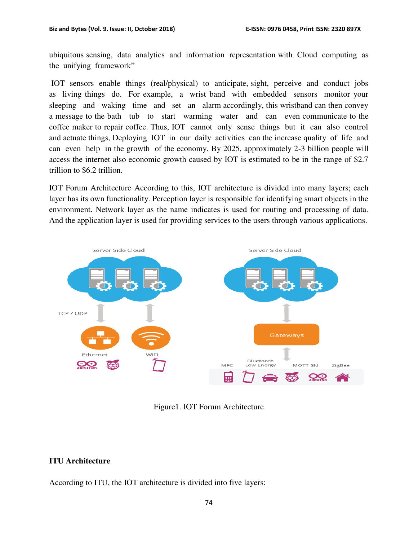ubiquitous sensing, data analytics and information representation with Cloud computing as the unifying framework"

 IOT sensors enable things (real/physical) to anticipate, sight, perceive and conduct jobs as living things do. For example, a wrist band with embedded sensors monitor your sleeping and waking time and set an alarm accordingly, this wristband can then convey a message to the bath tub to start warming water and can even communicate to the coffee maker to repair coffee. Thus, IOT cannot only sense things but it can also control and actuate things, Deploying IOT in our daily activities can the increase quality of life and can even help in the growth of the economy. By 2025, approximately 2-3 billion people will access the internet also economic growth caused by IOT is estimated to be in the range of \$2.7 trillion to \$6.2 trillion.

IOT Forum Architecture According to this, IOT architecture is divided into many layers; each layer has its own functionality. Perception layer is responsible for identifying smart objects in the environment. Network layer as the name indicates is used for routing and processing of data. And the application layer is used for providing services to the users through various applications.



Figure1. IOT Forum Architecture

## **ITU Architecture**

According to ITU, the IOT architecture is divided into five layers: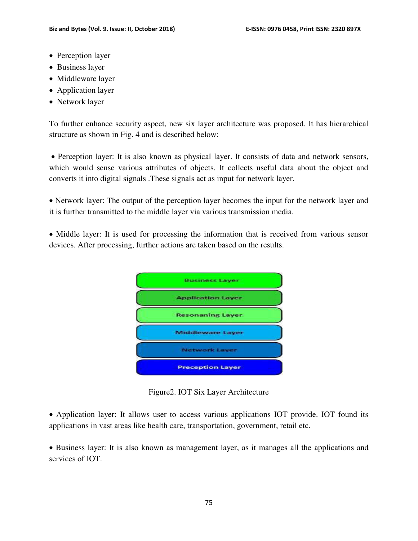- Perception layer
- Business layer
- Middleware layer
- Application layer
- Network layer

To further enhance security aspect, new six layer architecture was proposed. It has hierarchical structure as shown in Fig. 4 and is described below:

 Perception layer: It is also known as physical layer. It consists of data and network sensors, which would sense various attributes of objects. It collects useful data about the object and converts it into digital signals .These signals act as input for network layer.

• Network layer: The output of the perception layer becomes the input for the network layer and it is further transmitted to the middle layer via various transmission media.

• Middle layer: It is used for processing the information that is received from various sensor devices. After processing, further actions are taken based on the results.



Figure2. IOT Six Layer Architecture

 Application layer: It allows user to access various applications IOT provide. IOT found its applications in vast areas like health care, transportation, government, retail etc.

 Business layer: It is also known as management layer, as it manages all the applications and services of IOT.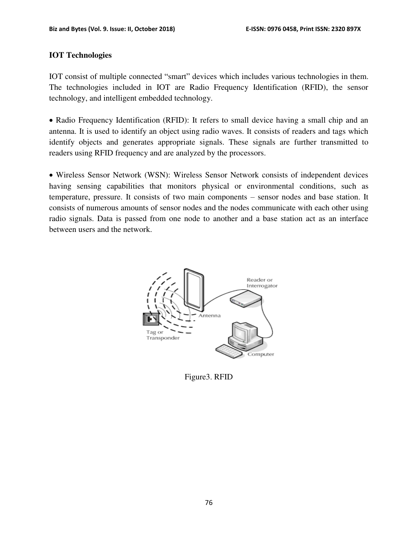### **IOT Technologies**

IOT consist of multiple connected "smart" devices which includes various technologies in them. The technologies included in IOT are Radio Frequency Identification (RFID), the sensor technology, and intelligent embedded technology.

• Radio Frequency Identification (RFID): It refers to small device having a small chip and an antenna. It is used to identify an object using radio waves. It consists of readers and tags which identify objects and generates appropriate signals. These signals are further transmitted to readers using RFID frequency and are analyzed by the processors.

 Wireless Sensor Network (WSN): Wireless Sensor Network consists of independent devices having sensing capabilities that monitors physical or environmental conditions, such as temperature, pressure. It consists of two main components – sensor nodes and base station. It consists of numerous amounts of sensor nodes and the nodes communicate with each other using radio signals. Data is passed from one node to another and a base station act as an interface between users and the network.



Figure3. RFID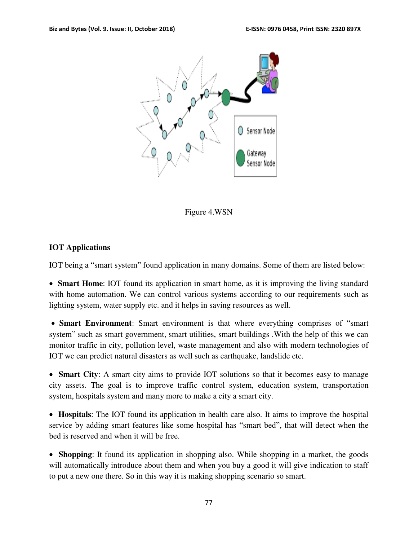

Figure 4.WSN

## **IOT Applications**

IOT being a "smart system" found application in many domains. Some of them are listed below:

 **Smart Home**: IOT found its application in smart home, as it is improving the living standard with home automation. We can control various systems according to our requirements such as lighting system, water supply etc. and it helps in saving resources as well.

 **Smart Environment**: Smart environment is that where everything comprises of "smart system" such as smart government, smart utilities, smart buildings .With the help of this we can monitor traffic in city, pollution level, waste management and also with modern technologies of IOT we can predict natural disasters as well such as earthquake, landslide etc.

 **Smart City**: A smart city aims to provide IOT solutions so that it becomes easy to manage city assets. The goal is to improve traffic control system, education system, transportation system, hospitals system and many more to make a city a smart city.

 **Hospitals**: The IOT found its application in health care also. It aims to improve the hospital service by adding smart features like some hospital has "smart bed", that will detect when the bed is reserved and when it will be free.

 **Shopping**: It found its application in shopping also. While shopping in a market, the goods will automatically introduce about them and when you buy a good it will give indication to staff to put a new one there. So in this way it is making shopping scenario so smart.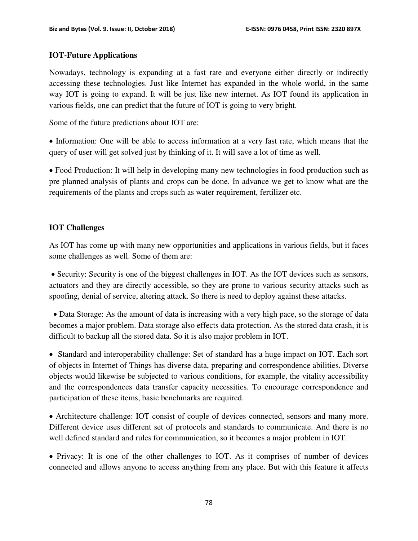### **IOT-Future Applications**

Nowadays, technology is expanding at a fast rate and everyone either directly or indirectly accessing these technologies. Just like Internet has expanded in the whole world, in the same way IOT is going to expand. It will be just like new internet. As IOT found its application in various fields, one can predict that the future of IOT is going to very bright.

Some of the future predictions about IOT are:

• Information: One will be able to access information at a very fast rate, which means that the query of user will get solved just by thinking of it. It will save a lot of time as well.

 Food Production: It will help in developing many new technologies in food production such as pre planned analysis of plants and crops can be done. In advance we get to know what are the requirements of the plants and crops such as water requirement, fertilizer etc.

### **IOT Challenges**

As IOT has come up with many new opportunities and applications in various fields, but it faces some challenges as well. Some of them are:

 Security: Security is one of the biggest challenges in IOT. As the IOT devices such as sensors, actuators and they are directly accessible, so they are prone to various security attacks such as spoofing, denial of service, altering attack. So there is need to deploy against these attacks.

 Data Storage: As the amount of data is increasing with a very high pace, so the storage of data becomes a major problem. Data storage also effects data protection. As the stored data crash, it is difficult to backup all the stored data. So it is also major problem in IOT.

• Standard and interoperability challenge: Set of standard has a huge impact on IOT. Each sort of objects in Internet of Things has diverse data, preparing and correspondence abilities. Diverse objects would likewise be subjected to various conditions, for example, the vitality accessibility and the correspondences data transfer capacity necessities. To encourage correspondence and participation of these items, basic benchmarks are required.

 Architecture challenge: IOT consist of couple of devices connected, sensors and many more. Different device uses different set of protocols and standards to communicate. And there is no well defined standard and rules for communication, so it becomes a major problem in IOT.

• Privacy: It is one of the other challenges to IOT. As it comprises of number of devices connected and allows anyone to access anything from any place. But with this feature it affects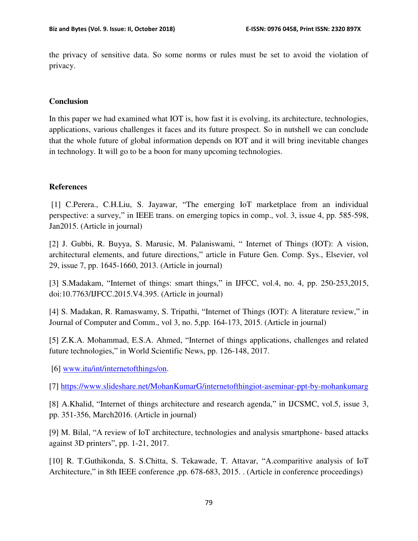the privacy of sensitive data. So some norms or rules must be set to avoid the violation of privacy.

## **Conclusion**

In this paper we had examined what IOT is, how fast it is evolving, its architecture, technologies, applications, various challenges it faces and its future prospect. So in nutshell we can conclude that the whole future of global information depends on IOT and it will bring inevitable changes in technology. It will go to be a boon for many upcoming technologies.

## **References**

 [1] C.Perera., C.H.Liu, S. Jayawar, "The emerging IoT marketplace from an individual perspective: a survey," in IEEE trans. on emerging topics in comp., vol. 3, issue 4, pp. 585-598, Jan2015. (Article in journal)

[2] J. Gubbi, R. Buyya, S. Marusic, M. Palaniswami, " Internet of Things (IOT): A vision, architectural elements, and future directions," article in Future Gen. Comp. Sys., Elsevier, vol 29, issue 7, pp. 1645-1660, 2013. (Article in journal)

[3] S.Madakam, "Internet of things: smart things," in IJFCC, vol.4, no. 4, pp. 250-253,2015, doi:10.7763/IJFCC.2015.V4.395. (Article in journal)

[4] S. Madakan, R. Ramaswamy, S. Tripathi, "Internet of Things (IOT): A literature review," in Journal of Computer and Comm., vol 3, no. 5,pp. 164-173, 2015. (Article in journal)

[5] Z.K.A. Mohammad, E.S.A. Ahmed, "Internet of things applications, challenges and related future technologies," in World Scientific News, pp. 126-148, 2017.

[6] [www.itu/int/internetofthings/on.](http://www.itu/int/internetofthings/on)

[7]<https://www.slideshare.net/MohanKumarG/internetofthingiot-aseminar-ppt-by-mohankumarg>

[8] A.Khalid, "Internet of things architecture and research agenda," in IJCSMC, vol.5, issue 3, pp. 351-356, March2016. (Article in journal)

[9] M. Bilal, "A review of IoT architecture, technologies and analysis smartphone- based attacks against 3D printers", pp. 1-21, 2017.

[10] R. T.Guthikonda, S. S.Chitta, S. Tekawade, T. Attavar, "A.comparitive analysis of IoT Architecture," in 8th IEEE conference ,pp. 678-683, 2015. . (Article in conference proceedings)